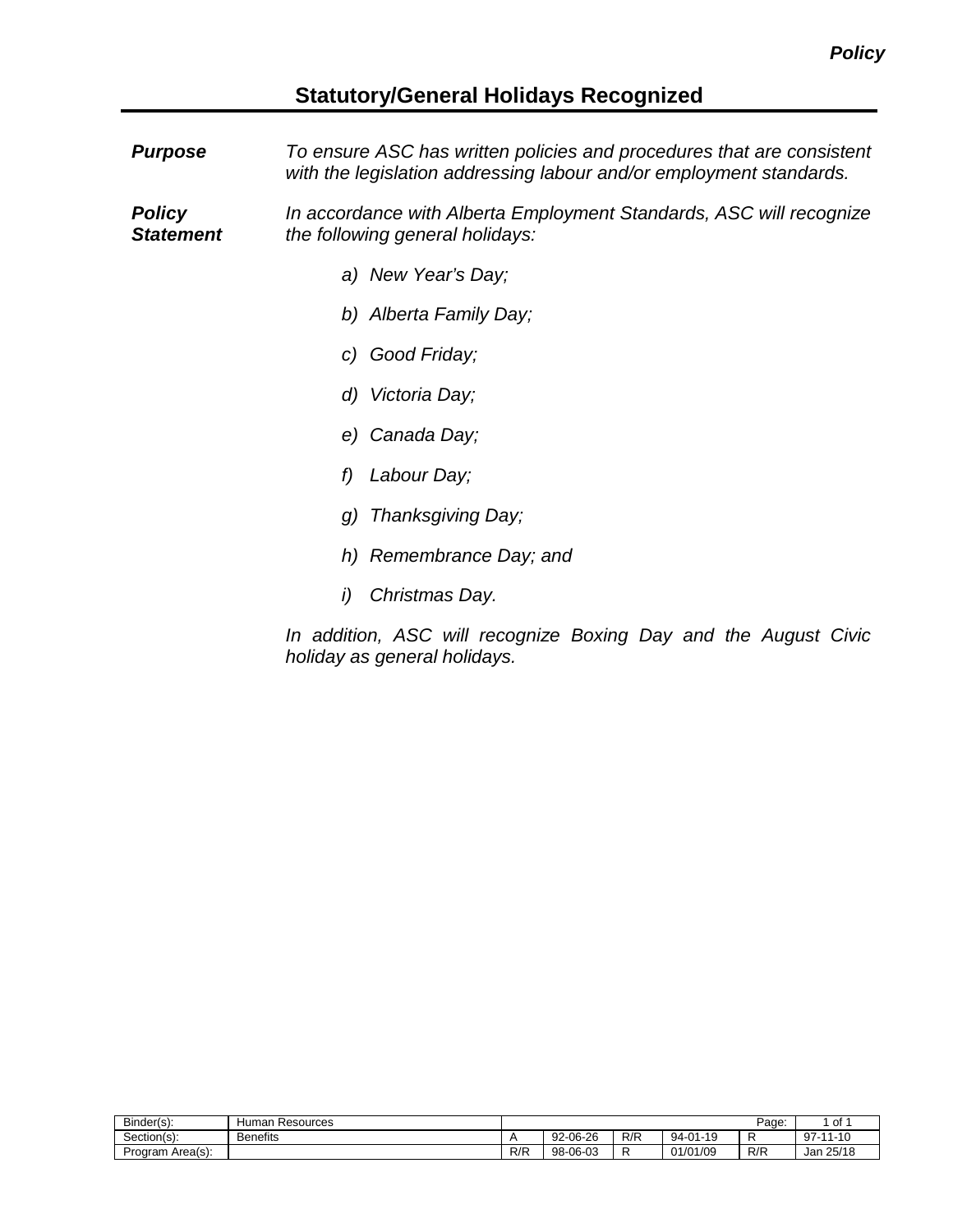## **Statutory/General Holidays Recognized**

| <b>Purpose</b>                    | To ensure ASC has written policies and procedures that are consistent<br>with the legislation addressing labour and/or employment standards. |  |  |  |  |  |
|-----------------------------------|----------------------------------------------------------------------------------------------------------------------------------------------|--|--|--|--|--|
| <b>Policy</b><br><b>Statement</b> | In accordance with Alberta Employment Standards, ASC will recognize<br>the following general holidays:                                       |  |  |  |  |  |
|                                   | a) New Year's Day;                                                                                                                           |  |  |  |  |  |
|                                   | b) Alberta Family Day;                                                                                                                       |  |  |  |  |  |
|                                   | c) Good Friday;                                                                                                                              |  |  |  |  |  |
|                                   | d) Victoria Day;                                                                                                                             |  |  |  |  |  |
|                                   | e) Canada Day;                                                                                                                               |  |  |  |  |  |
|                                   | Labour Day;<br>f)                                                                                                                            |  |  |  |  |  |
|                                   | g) Thanksgiving Day;                                                                                                                         |  |  |  |  |  |
|                                   | h) Remembrance Day; and                                                                                                                      |  |  |  |  |  |
|                                   | Christmas Day.<br>i)                                                                                                                         |  |  |  |  |  |
|                                   | In addition, ASC will recognize Boxing Day and the August Civic                                                                              |  |  |  |  |  |

*In addition, ASC will recognize Boxing Day and the August Civic holiday as general holidays.*

| Binder(s):                              | Resources<br>Human |     |                        |     |          | Page: | . of             |
|-----------------------------------------|--------------------|-----|------------------------|-----|----------|-------|------------------|
| $\overline{\phantom{0}}$<br>Section(s): | <b>Benefits</b>    |     | $-06 - 26$<br>$92 - 1$ | R/R | 94-01-19 | -     | $97 -$<br>-11-10 |
| Area(s):<br>Program,                    |                    | R/R | $-06-03$<br>$98 - 1$   | -   | 01/01/09 | R/R   | 25/18<br>Jan     |